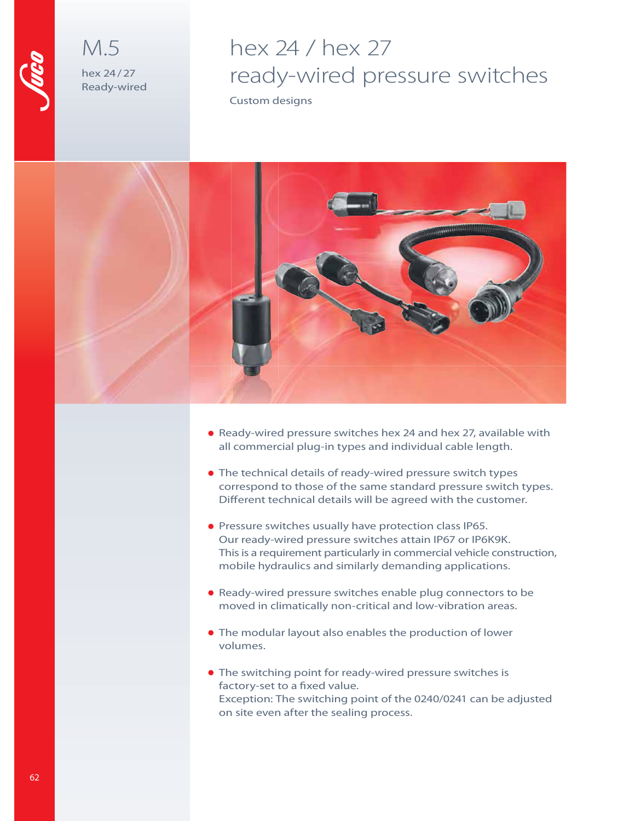

M.5 hex 24 / 27 Ready-wired

# hex 24 / hex 27 ready-wired pressure switches

Custom designs



- Ready-wired pressure switches hex 24 and hex 27, available with all commercial plug-in types and individual cable length.
- The technical details of ready-wired pressure switch types correspond to those of the same standard pressure switch types. Different technical details will be agreed with the customer.
- **Pressure switches usually have protection class IP65.** Our ready-wired pressure switches attain IP67 or IP6K9K. This is a requirement particularly in commercial vehicle construction, mobile hydraulics and similarly demanding applications.
- Ready-wired pressure switches enable plug connectors to be moved in climatically non-critical and low-vibration areas.
- The modular layout also enables the production of lower volumes.
- The switching point for ready-wired pressure switches is factory-set to a fixed value. Exception: The switching point of the 0240/0241 can be adjusted on site even after the sealing process.